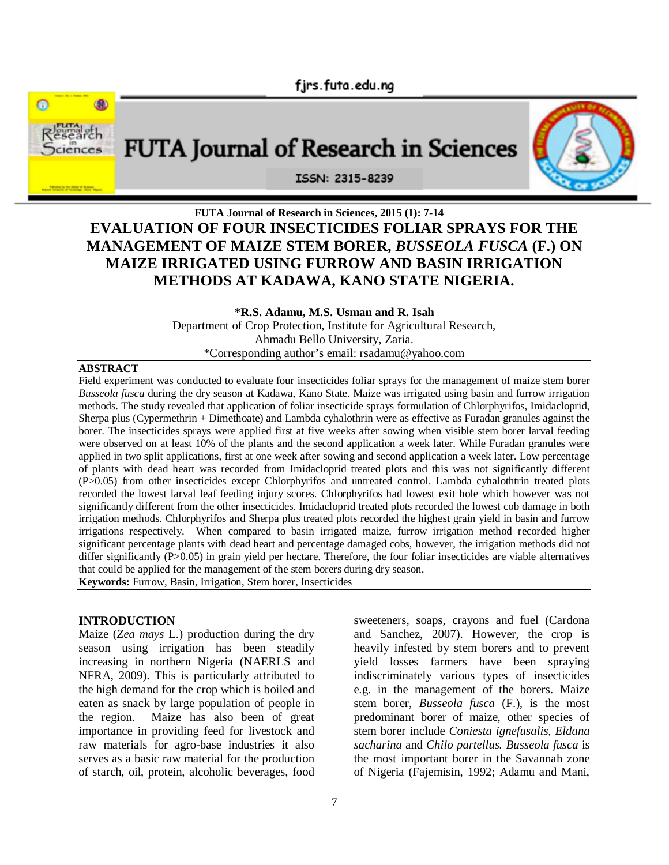



# **FUTA Journal of Research in Sciences, 2015 (1): 7-14 EVALUATION OF FOUR INSECTICIDES FOLIAR SPRAYS FOR THE MANAGEMENT OF MAIZE STEM BORER,** *BUSSEOLA FUSCA* **(F.) ON MAIZE IRRIGATED USING FURROW AND BASIN IRRIGATION METHODS AT KADAWA, KANO STATE NIGERIA.**

**\*R.S. Adamu, M.S. Usman and R. Isah**

Department of Crop Protection, Institute for Agricultural Research, Ahmadu Bello University, Zaria. \*Corresponding author's email: rsadamu@yahoo.com

#### **ABSTRACT**

Field experiment was conducted to evaluate four insecticides foliar sprays for the management of maize stem borer *Busseola fusca* during the dry season at Kadawa, Kano State. Maize was irrigated using basin and furrow irrigation methods. The study revealed that application of foliar insecticide sprays formulation of Chlorphyrifos, Imidacloprid, Sherpa plus (Cypermethrin + Dimethoate) and Lambda cyhalothrin were as effective as Furadan granules against the borer. The insecticides sprays were applied first at five weeks after sowing when visible stem borer larval feeding were observed on at least 10% of the plants and the second application a week later. While Furadan granules were applied in two split applications, first at one week after sowing and second application a week later. Low percentage of plants with dead heart was recorded from Imidacloprid treated plots and this was not significantly different (P>0.05) from other insecticides except Chlorphyrifos and untreated control. Lambda cyhalothtrin treated plots recorded the lowest larval leaf feeding injury scores. Chlorphyrifos had lowest exit hole which however was not significantly different from the other insecticides. Imidacloprid treated plots recorded the lowest cob damage in both irrigation methods. Chlorphyrifos and Sherpa plus treated plots recorded the highest grain yield in basin and furrow irrigations respectively. When compared to basin irrigated maize, furrow irrigation method recorded higher significant percentage plants with dead heart and percentage damaged cobs, however, the irrigation methods did not differ significantly (P>0.05) in grain yield per hectare. Therefore, the four foliar insecticides are viable alternatives that could be applied for the management of the stem borers during dry season.

**Keywords:** Furrow, Basin, Irrigation, Stem borer, Insecticides

#### **INTRODUCTION**

Maize (*Zea mays* L.) production during the dry season using irrigation has been steadily increasing in northern Nigeria (NAERLS and NFRA, 2009). This is particularly attributed to the high demand for the crop which is boiled and eaten as snack by large population of people in the region. Maize has also been of great importance in providing feed for livestock and raw materials for agro-base industries it also serves as a basic raw material for the production of starch, oil, protein, alcoholic beverages, food

sweeteners, soaps, crayons and fuel (Cardona and Sanchez, 2007). However, the crop is heavily infested by stem borers and to prevent yield losses farmers have been spraying indiscriminately various types of insecticides e.g. in the management of the borers. Maize stem borer, *Busseola fusca* (F.)*,* is the most predominant borer of maize, other species of stem borer include *Coniesta ignefusalis, Eldana sacharina* and *Chilo partellus. Busseola fusca* is the most important borer in the Savannah zone of Nigeria (Fajemisin, 1992; Adamu and Mani,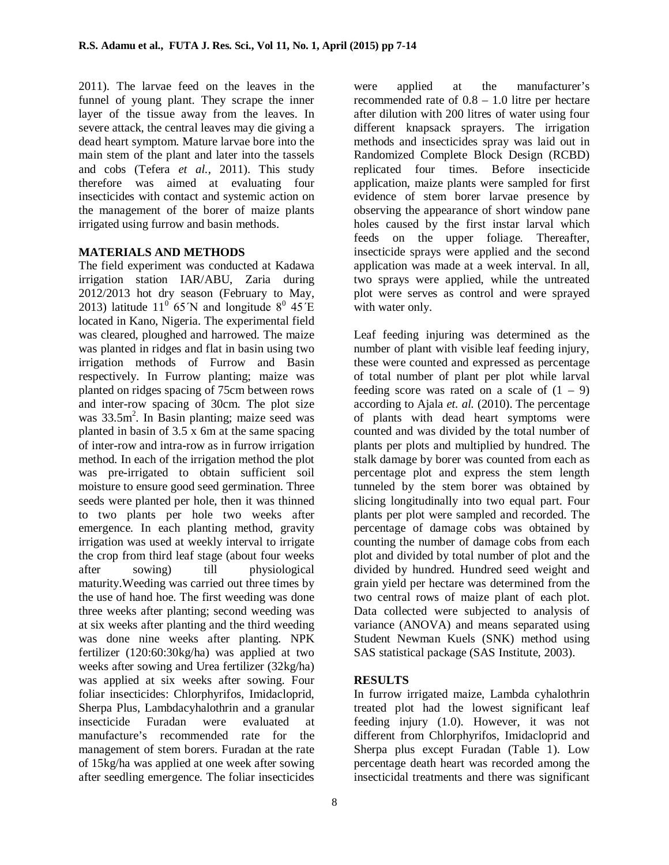2011). The larvae feed on the leaves in the funnel of young plant. They scrape the inner layer of the tissue away from the leaves. In severe attack, the central leaves may die giving a dead heart symptom. Mature larvae bore into the main stem of the plant and later into the tassels and cobs (Tefera *et al.,* 2011). This study therefore was aimed at evaluating four insecticides with contact and systemic action on the management of the borer of maize plants irrigated using furrow and basin methods.

### **MATERIALS AND METHODS**

The field experiment was conducted at Kadawa irrigation station IAR/ABU, Zaria during 2012/2013 hot dry season (February to May, 2013) latitude 11<sup>0</sup> 65 N and longitude  $8^{\circ}$  45 E located in Kano, Nigeria. The experimental field was cleared, ploughed and harrowed. The maize was planted in ridges and flat in basin using two irrigation methods of Furrow and Basin respectively. In Furrow planting; maize was planted on ridges spacing of 75cm between rows and inter-row spacing of 30cm. The plot size was  $33.5m^2$ . In Basin planting; maize seed was planted in basin of 3.5 x 6m at the same spacing of inter-row and intra-row as in furrow irrigation method. In each of the irrigation method the plot was pre-irrigated to obtain sufficient soil moisture to ensure good seed germination. Three seeds were planted per hole, then it was thinned to two plants per hole two weeks after emergence. In each planting method, gravity irrigation was used at weekly interval to irrigate the crop from third leaf stage (about four weeks after sowing) till physiological maturity.Weeding was carried out three times by the use of hand hoe. The first weeding was done three weeks after planting; second weeding was at six weeks after planting and the third weeding was done nine weeks after planting. NPK fertilizer (120:60:30kg/ha) was applied at two weeks after sowing and Urea fertilizer (32kg/ha) was applied at six weeks after sowing. Four foliar insecticides: Chlorphyrifos, Imidacloprid, Sherpa Plus, Lambdacyhalothrin and a granular insecticide Furadan were evaluated at manufacture's recommended rate for the management of stem borers. Furadan at the rate of 15kg/ha was applied at one week after sowing after seedling emergence. The foliar insecticides

were applied at the manufacturer's recommended rate of 0.8 – 1.0 litre per hectare after dilution with 200 litres of water using four different knapsack sprayers. The irrigation methods and insecticides spray was laid out in Randomized Complete Block Design (RCBD) replicated four times. Before insecticide application, maize plants were sampled for first evidence of stem borer larvae presence by observing the appearance of short window pane holes caused by the first instar larval which feeds on the upper foliage. Thereafter, insecticide sprays were applied and the second application was made at a week interval. In all, two sprays were applied, while the untreated plot were serves as control and were sprayed with water only.

Leaf feeding injuring was determined as the number of plant with visible leaf feeding injury, these were counted and expressed as percentage of total number of plant per plot while larval feeding score was rated on a scale of  $(1 - 9)$ according to Ajala *et. al.* (2010). The percentage of plants with dead heart symptoms were counted and was divided by the total number of plants per plots and multiplied by hundred. The stalk damage by borer was counted from each as percentage plot and express the stem length tunneled by the stem borer was obtained by slicing longitudinally into two equal part. Four plants per plot were sampled and recorded. The percentage of damage cobs was obtained by counting the number of damage cobs from each plot and divided by total number of plot and the divided by hundred. Hundred seed weight and grain yield per hectare was determined from the two central rows of maize plant of each plot. Data collected were subjected to analysis of variance (ANOVA) and means separated using Student Newman Kuels (SNK) method using SAS statistical package (SAS Institute, 2003).

### **RESULTS**

In furrow irrigated maize, Lambda cyhalothrin treated plot had the lowest significant leaf feeding injury (1.0). However, it was not different from Chlorphyrifos, Imidacloprid and Sherpa plus except Furadan (Table 1). Low percentage death heart was recorded among the insecticidal treatments and there was significant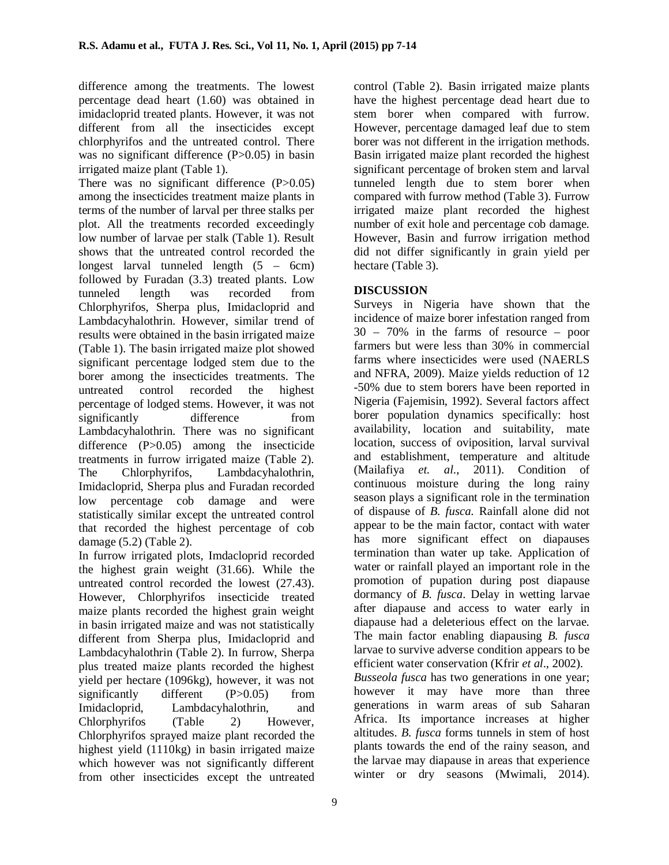difference among the treatments. The lowest percentage dead heart (1.60) was obtained in imidacloprid treated plants. However, it was not different from all the insecticides except chlorphyrifos and the untreated control. There was no significant difference (P>0.05) in basin irrigated maize plant (Table 1).

There was no significant difference (P>0.05) among the insecticides treatment maize plants in terms of the number of larval per three stalks per plot. All the treatments recorded exceedingly low number of larvae per stalk (Table 1). Result shows that the untreated control recorded the longest larval tunneled length (5 – 6cm) followed by Furadan (3.3) treated plants. Low tunneled length was recorded from Chlorphyrifos, Sherpa plus, Imidacloprid and Lambdacyhalothrin. However, similar trend of results were obtained in the basin irrigated maize (Table 1). The basin irrigated maize plot showed significant percentage lodged stem due to the borer among the insecticides treatments. The untreated control recorded the highest percentage of lodged stems. However, it was not significantly difference from Lambdacyhalothrin. There was no significant difference (P>0.05) among the insecticide treatments in furrow irrigated maize (Table 2). The Chlorphyrifos, Lambdacyhalothrin, Imidacloprid, Sherpa plus and Furadan recorded low percentage cob damage and were statistically similar except the untreated control that recorded the highest percentage of cob damage (5.2) (Table 2).

In furrow irrigated plots, Imdacloprid recorded the highest grain weight (31.66). While the untreated control recorded the lowest (27.43). However, Chlorphyrifos insecticide treated maize plants recorded the highest grain weight in basin irrigated maize and was not statistically different from Sherpa plus, Imidacloprid and Lambdacyhalothrin (Table 2). In furrow, Sherpa plus treated maize plants recorded the highest yield per hectare (1096kg), however, it was not significantly different (P>0.05) from Imidacloprid, Lambdacyhalothrin, and Chlorphyrifos (Table 2) However, Chlorphyrifos sprayed maize plant recorded the highest yield (1110kg) in basin irrigated maize which however was not significantly different from other insecticides except the untreated

9

control (Table 2). Basin irrigated maize plants have the highest percentage dead heart due to stem borer when compared with furrow. However, percentage damaged leaf due to stem borer was not different in the irrigation methods. Basin irrigated maize plant recorded the highest significant percentage of broken stem and larval tunneled length due to stem borer when compared with furrow method (Table 3). Furrow irrigated maize plant recorded the highest number of exit hole and percentage cob damage. However, Basin and furrow irrigation method did not differ significantly in grain yield per hectare (Table 3).

## **DISCUSSION**

Surveys in Nigeria have shown that the incidence of maize borer infestation ranged from 30 – 70% in the farms of resource – poor farmers but were less than 30% in commercial farms where insecticides were used (NAERLS and NFRA, 2009). Maize yields reduction of 12 -50% due to stem borers have been reported in Nigeria (Fajemisin, 1992). Several factors affect borer population dynamics specifically: host availability, location and suitability, mate location, success of oviposition, larval survival and establishment, temperature and altitude (Mailafiya *et. al*., 2011). Condition of continuous moisture during the long rainy season plays a significant role in the termination of dispause of *B. fusca.* Rainfall alone did not appear to be the main factor, contact with water has more significant effect on diapauses termination than water up take. Application of water or rainfall played an important role in the promotion of pupation during post diapause dormancy of *B. fusca*. Delay in wetting larvae after diapause and access to water early in diapause had a deleterious effect on the larvae. The main factor enabling diapausing *B. fusca* larvae to survive adverse condition appears to be efficient water conservation (Kfrir *et al*., 2002).

*Busseola fusca* has two generations in one year; however it may have more than three generations in warm areas of sub Saharan Africa. Its importance increases at higher altitudes. *B. fusca* forms tunnels in stem of host plants towards the end of the rainy season, and the larvae may diapause in areas that experience winter or dry seasons (Mwimali, 2014).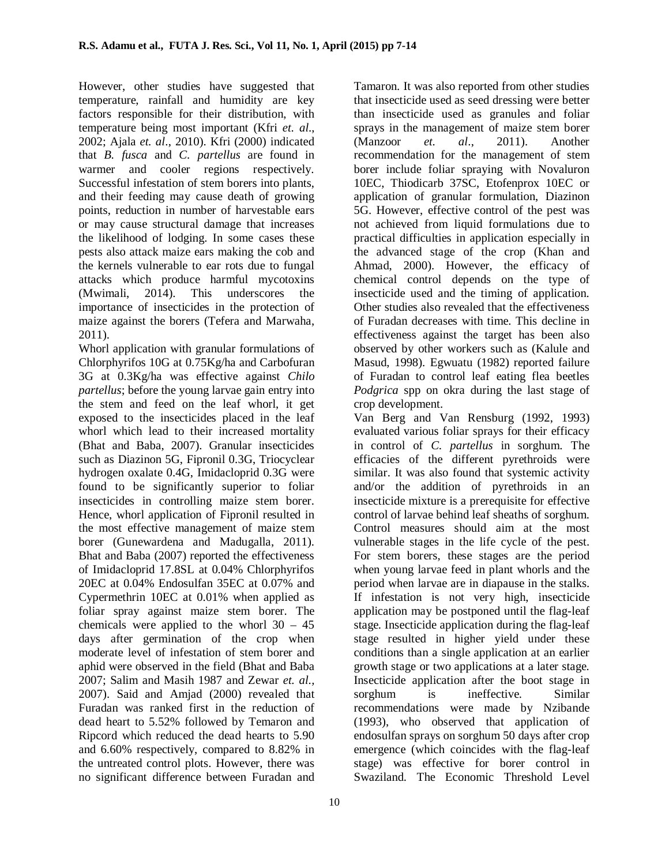However, other studies have suggested that temperature, rainfall and humidity are key factors responsible for their distribution, with temperature being most important (Kfri *et. al*., 2002; Ajala *et. al*., 2010). Kfri (2000) indicated that *B. fusca* and *C. partellus* are found in warmer and cooler regions respectively. Successful infestation of stem borers into plants, and their feeding may cause death of growing points, reduction in number of harvestable ears or may cause structural damage that increases the likelihood of lodging. In some cases these pests also attack maize ears making the cob and the kernels vulnerable to ear rots due to fungal attacks which produce harmful mycotoxins (Mwimali, 2014). This underscores the importance of insecticides in the protection of maize against the borers (Tefera and Marwaha, 2011).

Whorl application with granular formulations of Chlorphyrifos 10G at 0.75Kg/ha and Carbofuran 3G at 0.3Kg/ha was effective against *Chilo partellus*; before the young larvae gain entry into the stem and feed on the leaf whorl, it get exposed to the insecticides placed in the leaf whorl which lead to their increased mortality (Bhat and Baba, 2007). Granular insecticides such as Diazinon 5G, Fipronil 0.3G, Triocyclear hydrogen oxalate 0.4G, Imidacloprid 0.3G were found to be significantly superior to foliar insecticides in controlling maize stem borer. Hence, whorl application of Fipronil resulted in the most effective management of maize stem borer (Gunewardena and Madugalla, 2011). Bhat and Baba (2007) reported the effectiveness of Imidacloprid 17.8SL at 0.04% Chlorphyrifos 20EC at 0.04% Endosulfan 35EC at 0.07% and Cypermethrin 10EC at 0.01% when applied as foliar spray against maize stem borer. The chemicals were applied to the whorl  $30 - 45$ days after germination of the crop when moderate level of infestation of stem borer and aphid were observed in the field (Bhat and Baba 2007; Salim and Masih 1987 and Zewar *et. al.,* 2007). Said and Amjad (2000) revealed that Furadan was ranked first in the reduction of dead heart to 5.52% followed by Temaron and Ripcord which reduced the dead hearts to 5.90 and 6.60% respectively, compared to 8.82% in the untreated control plots. However, there was no significant difference between Furadan and

Tamaron. It was also reported from other studies that insecticide used as seed dressing were better than insecticide used as granules and foliar sprays in the management of maize stem borer (Manzoor *et. al*., 2011). Another recommendation for the management of stem borer include foliar spraying with Novaluron 10EC, Thiodicarb 37SC, Etofenprox 10EC or application of granular formulation, Diazinon 5G. However, effective control of the pest was not achieved from liquid formulations due to practical difficulties in application especially in the advanced stage of the crop (Khan and Ahmad, 2000). However, the efficacy of chemical control depends on the type of insecticide used and the timing of application. Other studies also revealed that the effectiveness of Furadan decreases with time. This decline in effectiveness against the target has been also observed by other workers such as (Kalule and Masud, 1998). Egwuatu (1982) reported failure of Furadan to control leaf eating flea beetles *Podgrica* spp on okra during the last stage of crop development.

Van Berg and Van Rensburg (1992, 1993) evaluated various foliar sprays for their efficacy in control of *C. partellus* in sorghum. The efficacies of the different pyrethroids were similar. It was also found that systemic activity and/or the addition of pyrethroids in an insecticide mixture is a prerequisite for effective control of larvae behind leaf sheaths of sorghum. Control measures should aim at the most vulnerable stages in the life cycle of the pest. For stem borers, these stages are the period when young larvae feed in plant whorls and the period when larvae are in diapause in the stalks. If infestation is not very high, insecticide application may be postponed until the flag-leaf stage. Insecticide application during the flag-leaf stage resulted in higher yield under these conditions than a single application at an earlier growth stage or two applications at a later stage. Insecticide application after the boot stage in sorghum is ineffective. Similar recommendations were made by Nzibande (1993), who observed that application of endosulfan sprays on sorghum 50 days after crop emergence (which coincides with the flag-leaf stage) was effective for borer control in Swaziland. The Economic Threshold Level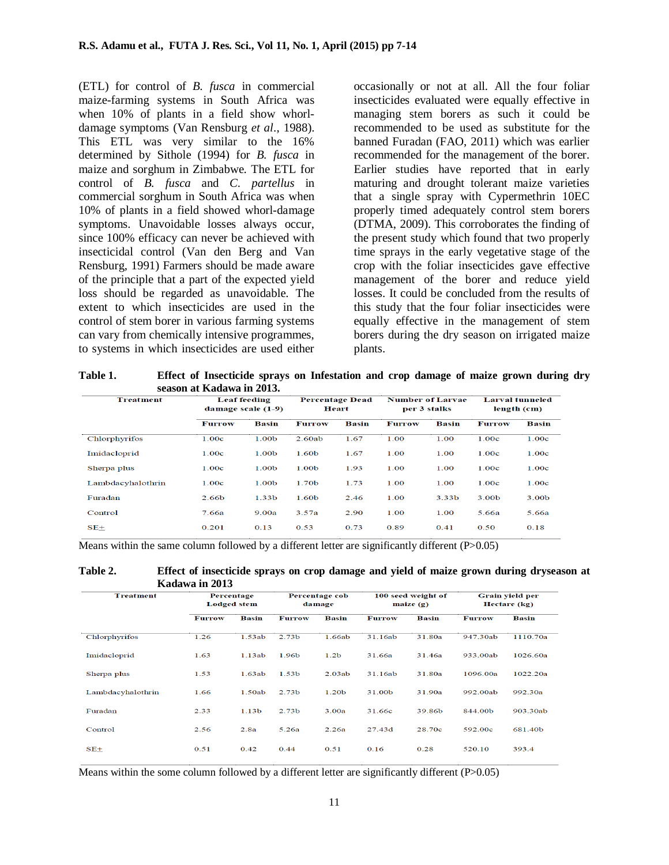(ETL) for control of *B. fusca* in commercial maize-farming systems in South Africa was when 10% of plants in a field show whorldamage symptoms (Van Rensburg *et al*., 1988). This ETL was very similar to the 16% determined by Sithole (1994) for *B. fusca* in maize and sorghum in Zimbabwe. The ETL for control of *B. fusca* and *C. partellus* in commercial sorghum in South Africa was when 10% of plants in a field showed whorl-damage symptoms. Unavoidable losses always occur, since 100% efficacy can never be achieved with insecticidal control (Van den Berg and Van Rensburg, 1991) Farmers should be made aware of the principle that a part of the expected yield loss should be regarded as unavoidable. The extent to which insecticides are used in the control of stem borer in various farming systems can vary from chemically intensive programmes, to systems in which insecticides are used either

occasionally or not at all. All the four foliar insecticides evaluated were equally effective in managing stem borers as such it could be recommended to be used as substitute for the banned Furadan (FAO, 2011) which was earlier recommended for the management of the borer. Earlier studies have reported that in early maturing and drought tolerant maize varieties that a single spray with Cypermethrin 10EC properly timed adequately control stem borers (DTMA, 2009). This corroborates the finding of the present study which found that two properly time sprays in the early vegetative stage of the crop with the foliar insecticides gave effective management of the borer and reduce yield losses. It could be concluded from the results of this study that the four foliar insecticides were equally effective in the management of stem borers during the dry season on irrigated maize plants.

**Table 1. Effect of Insecticide sprays on Infestation and crop damage of maize grown during dry season at Kadawa in 2013.**

| <b>Treatment</b>  | <b>Leaf feeding</b><br>damage scale $(1-9)$ |                   | <b>Percentage Dead</b><br>Heart |       | <b>Number of Larvae</b><br>per 3 stalks |       | <b>Larval tunneled</b><br>length (cm) |       |
|-------------------|---------------------------------------------|-------------------|---------------------------------|-------|-----------------------------------------|-------|---------------------------------------|-------|
|                   | <b>Furrow</b>                               | <b>Basin</b>      | <b>Furrow</b>                   | Basin | <b>Furrow</b>                           | Basin | <b>Furrow</b>                         | Basin |
| Chlorphyrifos     | 1.00c                                       | 1.00b             | 2.60ab                          | 1.67  | 1.00                                    | 1.00  | 1.00c                                 | 1.00c |
| Imidacloprid      | 1.00c                                       | 1.00b             | 1.60b                           | 1.67  | 1.00                                    | 1.00  | 1.00c                                 | 1.00c |
| Sherpa plus       | 1.00c                                       | 1.00b             | 1.00b                           | 1.93  | 1.00                                    | 1.00  | 1.00c                                 | 1.00c |
| Lambdacyhalothrin | 1.00c                                       | 1.00b             | 1.70b                           | 1.73  | 1.00                                    | 1.00  | 1.00c                                 | 1.00c |
| Furadan           | 2.66b                                       | 1.33 <sub>b</sub> | 1.60b                           | 2.46  | 1.00                                    | 3.33b | 3.00b                                 | 3.00b |
| Control           | 7.66a                                       | 9.00a             | 3.57a                           | 2.90  | 1.00                                    | 1.00  | 5.66a                                 | 5.66a |
| $SE+$             | 0.201                                       | 0.13              | 0.53                            | 0.73  | 0.89                                    | 0.41  | 0.50                                  | 0.18  |

Means within the same column followed by a different letter are significantly different (P>0.05)



| <b>Treatment</b>  | Percentage<br><b>Lodged</b> stem |                   | Percentage cob<br>damage |                  | 100 seed weight of<br>$m aize (g)$ |              | Grain yield per<br>Hectare (kg) |              |
|-------------------|----------------------------------|-------------------|--------------------------|------------------|------------------------------------|--------------|---------------------------------|--------------|
|                   | <b>Furrow</b>                    | <b>Basin</b>      | <b>Furrow</b>            | <b>Basin</b>     | <b>Furrow</b>                      | <b>Basin</b> | <b>Furrow</b>                   | <b>Basin</b> |
| Chlorphyrifos     | 1.26                             | 1.53ab            | 2.73 <sub>b</sub>        | 1.66ab           | 31.16ab                            | 31.80a       | 947.30ab                        | 1110.70a     |
| Imidacloprid      | 1.63                             | 1.13ab            | 1.96b                    | 1.2 <sub>b</sub> | 31.66a                             | 31.46a       | 933.00ab                        | 1026.60a     |
| Sherpa plus       | 1.53                             | 1.63ab            | 1.53 <sub>b</sub>        | 2.03ab           | 31.16ab                            | 31.80a       | 1096.00a                        | 1022.20a     |
| Lambdacyhalothrin | 1.66                             | 1.50ab            | 2.73 <sub>b</sub>        | 1.20b            | 31.00b                             | 31.90a       | 992.00ab                        | 992.30a      |
| Furadan           | 2.33                             | 1.13 <sub>b</sub> | 2.73 <sub>b</sub>        | 3.00a            | 31.66c                             | 39.86b       | 844.00b                         | 903.30ab     |
| Control           | 2.56                             | 2.8a              | 5.26a                    | 2.26a            | 27.43d                             | 28.70c       | 592.00c                         | 681.40b      |
| $SE+$             | 0.51                             | 0.42              | 0.44                     | 0.51             | 0.16                               | 0.28         | 520.10                          | 393.4        |

Means within the some column followed by a different letter are significantly different (P>0.05)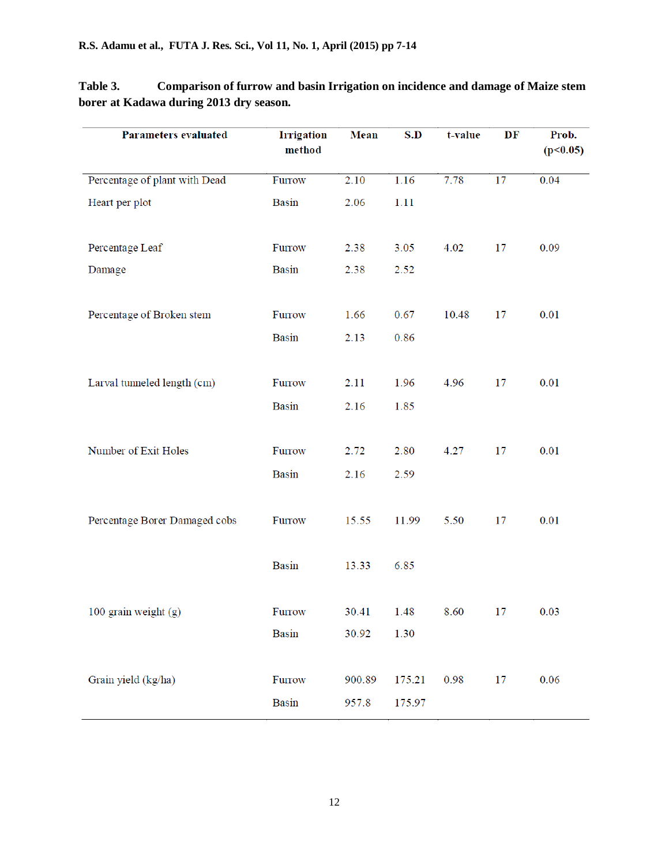| Parameters evaluated          | <b>Irrigation</b><br>method | <b>Mean</b> | S.D    | t-value | DF | Prob.<br>(p<0.05) |
|-------------------------------|-----------------------------|-------------|--------|---------|----|-------------------|
| Percentage of plant with Dead | Furrow                      | 2.10        | 1.16   | 7.78    | 17 | 0.04              |
| Heart per plot                | <b>Basin</b>                | 2.06        | 1.11   |         |    |                   |
| Percentage Leaf               | Furrow                      | 2.38        | 3.05   | 4.02    | 17 | 0.09              |
| Damage                        | <b>Basin</b>                | 2.38        | 2.52   |         |    |                   |
| Percentage of Broken stem     | Furrow                      | 1.66        | 0.67   | 10.48   | 17 | 0.01              |
|                               | <b>Basin</b>                | 2.13        | 0.86   |         |    |                   |
| Larval tunneled length (cm)   | Furrow                      | 2.11        | 1.96   | 4.96    | 17 | 0.01              |
|                               | Basin                       | 2.16        | 1.85   |         |    |                   |
| Number of Exit Holes          | Furrow                      | 2.72        | 2.80   | 4.27    | 17 | 0.01              |
|                               | <b>Basin</b>                | 2.16        | 2.59   |         |    |                   |
| Percentage Borer Damaged cobs | Furrow                      | 15.55       | 11.99  | 5.50    | 17 | 0.01              |
|                               | <b>Basin</b>                | 13.33       | 6.85   |         |    |                   |
| 100 grain weight (g)          | Furrow                      | 30.41       | 1.48   | 8.60    | 17 | 0.03              |
|                               | Basin                       | 30.92       | 1.30   |         |    |                   |
| Grain yield (kg/ha)           | Furrow                      | 900.89      | 175.21 | 0.98    | 17 | 0.06              |
|                               | <b>Basin</b>                | 957.8       | 175.97 |         |    |                   |

**Table 3. Comparison of furrow and basin Irrigation on incidence and damage of Maize stem borer at Kadawa during 2013 dry season.**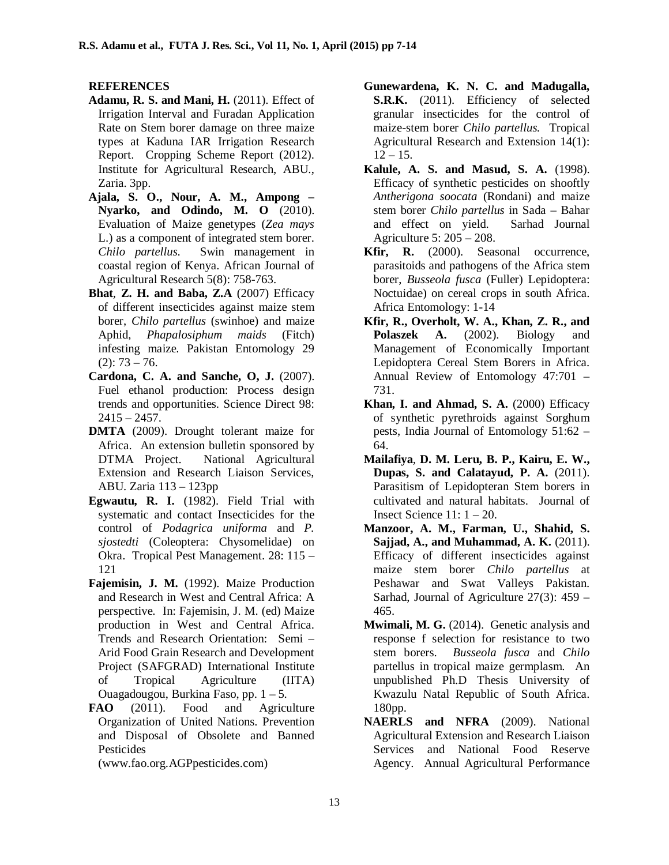### **REFERENCES**

- **Adamu, R. S. and Mani, H.** (2011). Effect of Irrigation Interval and Furadan Application Rate on Stem borer damage on three maize types at Kaduna IAR Irrigation Research Report. Cropping Scheme Report (2012). Institute for Agricultural Research, ABU., Zaria. 3pp.
- **Ajala, S. O., Nour, A. M., Ampong – Nyarko, and Odindo, M. O** (2010). Evaluation of Maize genetypes (*Zea mays* L.) as a component of integrated stem borer. *Chilo partellus*. Swin management in coastal region of Kenya. African Journal of Agricultural Research 5(8): 758-763.
- **Bhat**, **Z. H. and Baba, Z.A** (2007) Efficacy of different insecticides against maize stem borer, *Chilo partellus* (swinhoe) and maize Aphid, *Phapalosiphum maids* (Fitch) infesting maize. Pakistan Entomology 29  $(2): 73 - 76.$
- **Cardona, C. A. and Sanche, O, J.** (2007). Fuel ethanol production: Process design trends and opportunities. Science Direct 98:  $2415 - 2457$ .
- **DMTA** (2009). Drought tolerant maize for Africa. An extension bulletin sponsored by DTMA Project. National Agricultural Extension and Research Liaison Services, ABU. Zaria 113 – 123pp
- **Egwautu, R. I.** (1982). Field Trial with systematic and contact Insecticides for the control of *Podagrica uniforma* and *P. sjostedti* (Coleoptera: Chysomelidae) on Okra. Tropical Pest Management. 28: 115 – 121
- **Fajemisin, J. M.** (1992). Maize Production and Research in West and Central Africa: A perspective. In: Fajemisin, J. M. (ed) Maize production in West and Central Africa. Trends and Research Orientation: Semi – Arid Food Grain Research and Development Project (SAFGRAD) International Institute of Tropical Agriculture (IITA) Ouagadougou, Burkina Faso, pp. 1 – 5.
- FAO (2011). Food and Agriculture Organization of United Nations. Prevention and Disposal of Obsolete and Banned Pesticides

(www.fao.org.AGPpesticides.com)

- **Gunewardena, K. N. C. and Madugalla, S.R.K.** (2011). Efficiency of selected granular insecticides for the control of maize-stem borer *Chilo partellus.* Tropical Agricultural Research and Extension 14(1):  $12 - 15$ .
- **Kalule, A. S. and Masud, S. A.** (1998). Efficacy of synthetic pesticides on shooftly *Antherigona soocata* (Rondani) and maize stem borer *Chilo partellus* in Sada – Bahar and effect on yield. Sarhad Journal Agriculture 5: 205 – 208.
- **Kfir, R.** (2000). Seasonal occurrence, parasitoids and pathogens of the Africa stem borer, *Busseola fusca* (Fuller) Lepidoptera: Noctuidae) on cereal crops in south Africa. Africa Entomology: 1-14
- **Kfir, R., Overholt, W. A., Khan, Z. R., and Polaszek A.** (2002). Biology and Management of Economically Important Lepidoptera Cereal Stem Borers in Africa. Annual Review of Entomology 47:701 – 731.
- **Khan, I. and Ahmad, S. A.** (2000) Efficacy of synthetic pyrethroids against Sorghum pests, India Journal of Entomology 51:62 – 64.
- **Mailafiya**, **D. M. Leru, B. P., Kairu, E. W., Dupas, S. and Calatayud, P. A.** (2011). Parasitism of Lepidopteran Stem borers in cultivated and natural habitats. Journal of Insect Science  $11: 1 - 20$ .
- **Manzoor, A. M., Farman, U., Shahid, S. Sajjad, A., and Muhammad, A. K.** (2011). Efficacy of different insecticides against maize stem borer *Chilo partellus* at Peshawar and Swat Valleys Pakistan. Sarhad, Journal of Agriculture 27(3): 459 – 465.
- **Mwimali, M. G.** (2014). Genetic analysis and response f selection for resistance to two stem borers. *Busseola fusca* and *Chilo* partellus in tropical maize germplasm. An unpublished Ph.D Thesis University of Kwazulu Natal Republic of South Africa. 180pp.
- **NAERLS and NFRA** (2009). National Agricultural Extension and Research Liaison Services and National Food Reserve Agency. Annual Agricultural Performance